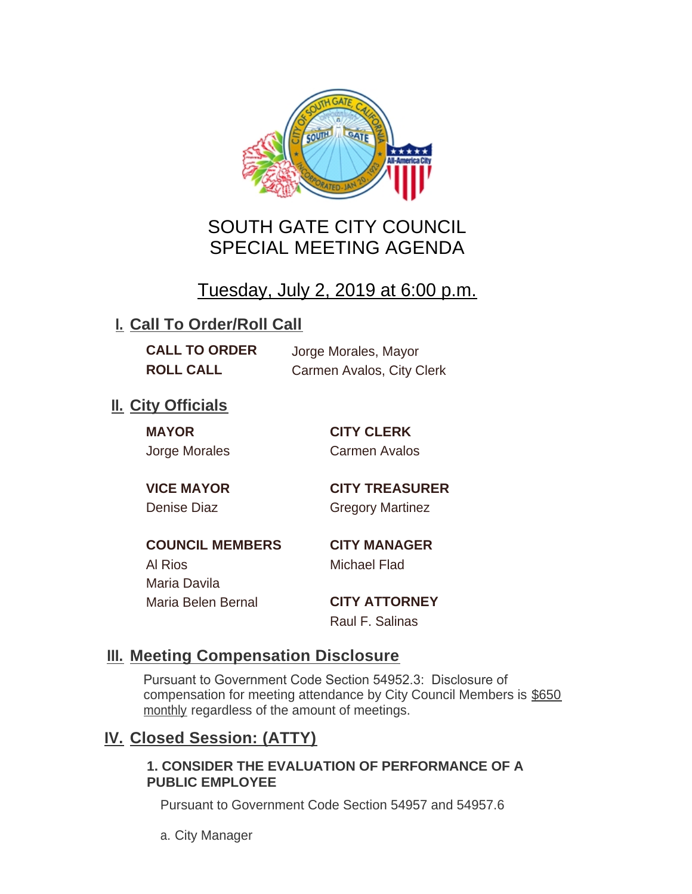

# SOUTH GATE CITY COUNCIL SPECIAL MEETING AGENDA

# Tuesday, July 2, 2019 at 6:00 p.m.

## **I. Call To Order/Roll Call**

**CALL TO ORDER** Jorge Morales, Mayor

**ROLL CALL** Carmen Avalos, City Clerk

## **II.** City Officials

**MAYOR CITY CLERK**

Jorge Morales Carmen Avalos

**VICE MAYOR CITY TREASURER** Denise Diaz Gregory Martinez

**COUNCIL MEMBERS CITY MANAGER** Al Rios Michael Flad Maria Davila Maria Belen Bernal **CITY ATTORNEY**

Raul F. Salinas

### **Meeting Compensation Disclosure III.**

Pursuant to Government Code Section 54952.3: Disclosure of compensation for meeting attendance by City Council Members is \$650 monthly regardless of the amount of meetings.

### **Closed Session: (ATTY) IV.**

#### **1. CONSIDER THE EVALUATION OF PERFORMANCE OF A PUBLIC EMPLOYEE**

Pursuant to Government Code Section 54957 and 54957.6

a. City Manager